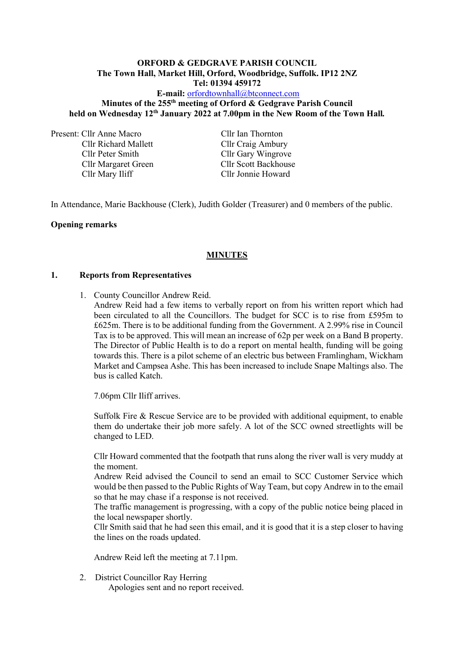### **ORFORD & GEDGRAVE PARISH COUNCIL The Town Hall, Market Hill, Orford, Woodbridge, Suffolk. IP12 2NZ Tel: 01394 459172**

# **E-mail:** [orfordtownhall@btconnect.com](mailto:orfordtownhall@btconnect.com) **Minutes of the 255 th meeting of Orford & Gedgrave Parish Council held on Wednesday 12th January 2022 at 7.00pm in the New Room of the Town Hall***.*

Present: Cllr Anne Macro Cllr Ian Thornton

Cllr Richard Mallett Cllr Craig Ambury Cllr Peter Smith Cllr Gary Wingrove Cllr Margaret Green Cllr Scott Backhouse Cllr Mary Iliff Cllr Jonnie Howard

In Attendance, Marie Backhouse (Clerk), Judith Golder (Treasurer) and 0 members of the public.

### **Opening remarks**

# **MINUTES**

### **1. Reports from Representatives**

- 1. County Councillor Andrew Reid.
	- Andrew Reid had a few items to verbally report on from his written report which had been circulated to all the Councillors. The budget for SCC is to rise from £595m to £625m. There is to be additional funding from the Government. A 2.99% rise in Council Tax is to be approved. This will mean an increase of 62p per week on a Band B property. The Director of Public Health is to do a report on mental health, funding will be going towards this. There is a pilot scheme of an electric bus between Framlingham, Wickham Market and Campsea Ashe. This has been increased to include Snape Maltings also. The bus is called Katch.

7.06pm Cllr Iliff arrives.

Suffolk Fire & Rescue Service are to be provided with additional equipment, to enable them do undertake their job more safely. A lot of the SCC owned streetlights will be changed to LED.

Cllr Howard commented that the footpath that runs along the river wall is very muddy at the moment.

Andrew Reid advised the Council to send an email to SCC Customer Service which would be then passed to the Public Rights of Way Team, but copy Andrew in to the email so that he may chase if a response is not received.

The traffic management is progressing, with a copy of the public notice being placed in the local newspaper shortly.

Cllr Smith said that he had seen this email, and it is good that it is a step closer to having the lines on the roads updated.

Andrew Reid left the meeting at 7.11pm.

2. District Councillor Ray Herring

Apologies sent and no report received.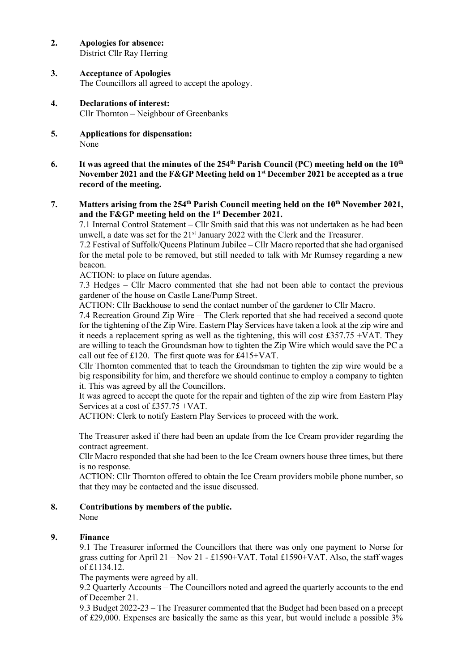- **2. Apologies for absence:** District Cllr Ray Herring
- **3. Acceptance of Apologies** The Councillors all agreed to accept the apology.
- **4. Declarations of interest:** Cllr Thornton – Neighbour of Greenbanks
- **5. Applications for dispensation:** None
- **6.** It was agreed that the minutes of the 254<sup>th</sup> Parish Council (PC) meeting held on the  $10^{\text{th}}$ **November 2021 and the F&GP Meeting held on 1st December 2021 be accepted as a true record of the meeting.**

# **7. Matters arising from the 254 th Parish Council meeting held on the 10 th November 2021, and the F&GP meeting held on the 1st December 2021.**

7.1 Internal Control Statement – Cllr Smith said that this was not undertaken as he had been unwell, a date was set for the  $21<sup>st</sup>$  January 2022 with the Clerk and the Treasurer.

7.2 Festival of Suffolk/Queens Platinum Jubilee – Cllr Macro reported that she had organised for the metal pole to be removed, but still needed to talk with Mr Rumsey regarding a new beacon.

ACTION: to place on future agendas.

7.3 Hedges – Cllr Macro commented that she had not been able to contact the previous gardener of the house on Castle Lane/Pump Street.

ACTION: Cllr Backhouse to send the contact number of the gardener to Cllr Macro.

7.4 Recreation Ground Zip Wire – The Clerk reported that she had received a second quote for the tightening of the Zip Wire. Eastern Play Services have taken a look at the zip wire and it needs a replacement spring as well as the tightening, this will cost £357.75 +VAT. They are willing to teach the Groundsman how to tighten the Zip Wire which would save the PC a call out fee of £120. The first quote was for £415+VAT.

Cllr Thornton commented that to teach the Groundsman to tighten the zip wire would be a big responsibility for him, and therefore we should continue to employ a company to tighten it. This was agreed by all the Councillors.

It was agreed to accept the quote for the repair and tighten of the zip wire from Eastern Play Services at a cost of £357.75 +VAT.

ACTION: Clerk to notify Eastern Play Services to proceed with the work.

The Treasurer asked if there had been an update from the Ice Cream provider regarding the contract agreement.

Cllr Macro responded that she had been to the Ice Cream owners house three times, but there is no response.

ACTION: Cllr Thornton offered to obtain the Ice Cream providers mobile phone number, so that they may be contacted and the issue discussed.

**8. Contributions by members of the public.**

None

# **9. Finance**

9.1 The Treasurer informed the Councillors that there was only one payment to Norse for grass cutting for April 21 – Nov 21 - £1590+VAT. Total £1590+VAT. Also, the staff wages of £1134.12.

The payments were agreed by all.

9.2 Quarterly Accounts – The Councillors noted and agreed the quarterly accounts to the end of December 21.

9.3 Budget 2022-23 – The Treasurer commented that the Budget had been based on a precept of £29,000. Expenses are basically the same as this year, but would include a possible 3%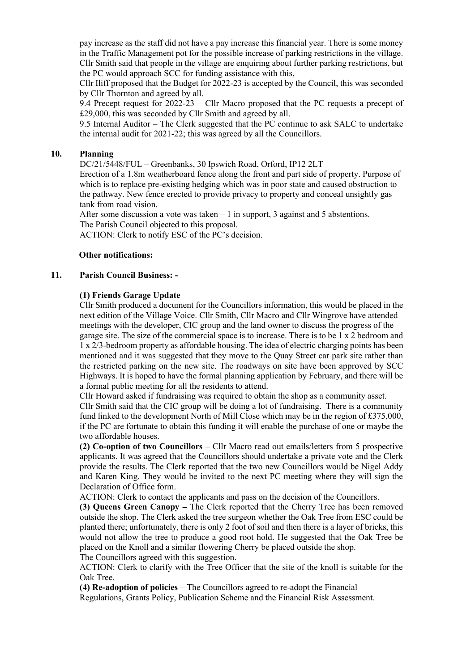pay increase as the staff did not have a pay increase this financial year. There is some money in the Traffic Management pot for the possible increase of parking restrictions in the village. Cllr Smith said that people in the village are enquiring about further parking restrictions, but the PC would approach SCC for funding assistance with this,

Cllr Iliff proposed that the Budget for 2022-23 is accepted by the Council, this was seconded by Cllr Thornton and agreed by all.

9.4 Precept request for 2022-23 – Cllr Macro proposed that the PC requests a precept of £29,000, this was seconded by Cllr Smith and agreed by all.

9.5 Internal Auditor – The Clerk suggested that the PC continue to ask SALC to undertake the internal audit for 2021-22; this was agreed by all the Councillors.

### **10. Planning**

DC/21/5448/FUL – Greenbanks, 30 Ipswich Road, Orford, IP12 2LT

Erection of a 1.8m weatherboard fence along the front and part side of property. Purpose of which is to replace pre-existing hedging which was in poor state and caused obstruction to the pathway. New fence erected to provide privacy to property and conceal unsightly gas tank from road vision.

After some discussion a vote was taken  $-1$  in support, 3 against and 5 abstentions. The Parish Council objected to this proposal.

ACTION: Clerk to notify ESC of the PC's decision.

#### **Other notifications:**

#### **11. Parish Council Business: -**

#### **(1) Friends Garage Update**

Cllr Smith produced a document for the Councillors information, this would be placed in the next edition of the Village Voice. Cllr Smith, Cllr Macro and Cllr Wingrove have attended meetings with the developer, CIC group and the land owner to discuss the progress of the garage site. The size of the commercial space is to increase. There is to be 1 x 2 bedroom and 1 x 2/3-bedroom property as affordable housing. The idea of electric charging points has been mentioned and it was suggested that they move to the Quay Street car park site rather than the restricted parking on the new site. The roadways on site have been approved by SCC Highways. It is hoped to have the formal planning application by February, and there will be a formal public meeting for all the residents to attend.

Cllr Howard asked if fundraising was required to obtain the shop as a community asset.

Cllr Smith said that the CIC group will be doing a lot of fundraising. There is a community fund linked to the development North of Mill Close which may be in the region of £375,000, if the PC are fortunate to obtain this funding it will enable the purchase of one or maybe the two affordable houses.

**(2) Co-option of two Councillors –** Cllr Macro read out emails/letters from 5 prospective applicants. It was agreed that the Councillors should undertake a private vote and the Clerk provide the results. The Clerk reported that the two new Councillors would be Nigel Addy and Karen King. They would be invited to the next PC meeting where they will sign the Declaration of Office form.

ACTION: Clerk to contact the applicants and pass on the decision of the Councillors.

**(3) Queens Green Canopy –** The Clerk reported that the Cherry Tree has been removed outside the shop. The Clerk asked the tree surgeon whether the Oak Tree from ESC could be planted there; unfortunately, there is only 2 foot of soil and then there is a layer of bricks, this would not allow the tree to produce a good root hold. He suggested that the Oak Tree be placed on the Knoll and a similar flowering Cherry be placed outside the shop.

The Councillors agreed with this suggestion.

ACTION: Clerk to clarify with the Tree Officer that the site of the knoll is suitable for the Oak Tree.

**(4) Re-adoption of policies –** The Councillors agreed to re-adopt the Financial Regulations, Grants Policy, Publication Scheme and the Financial Risk Assessment.